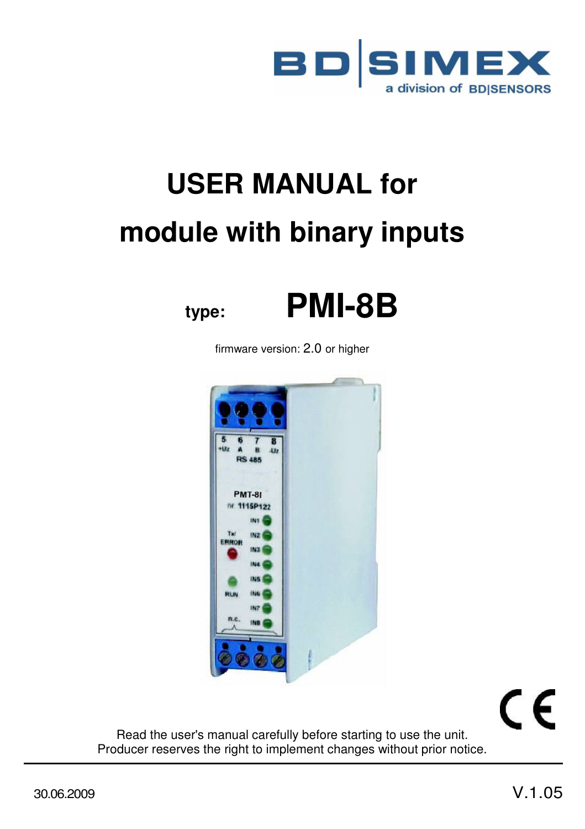

# **USER MANUAL for module with binary inputs**





firmware version: 2.0 or higher



 $\epsilon$ 

Read the user's manual carefully before starting to use the unit. Producer reserves the right to implement changes without prior notice.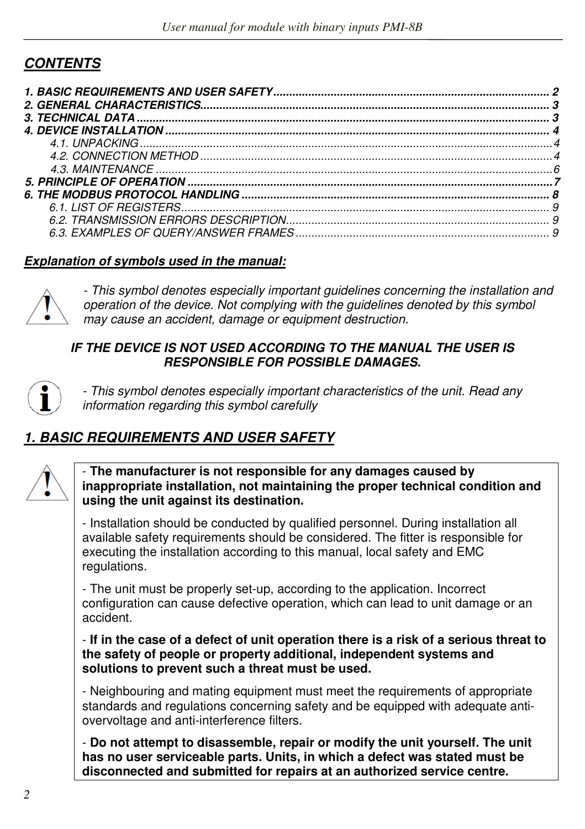## *CONTENTS*

| 6.3. EXAMPLES OF OUERY/ANSWER FRAMES |  |
|--------------------------------------|--|

#### *Explanation of symbols used in the manual:*



*- This symbol denotes especially important guidelines concerning the installation and operation of the device. Not complying with the guidelines denoted by this symbol may cause an accident, damage or equipment destruction.*

#### **IF THE DEVICE IS NOT USED ACCORDING TO THE MANUAL THE USER IS** *RESPONSIBLE FOR POSSIBLE DAMAGES.*



*- This symbol denotes especially important characteristics of the unit. Read any information regarding this symbol carefully* 

# *1. BASIC REQUIREMENTS AND USER SAFETY*

- **The manufacturer is not responsible for any damages caused by inappropriate installation, not maintaining the proper technical condition and using the unit against its destination.** 

- Installation should be conducted by qualified personnel. During installation all available safety requirements should be considered. The fitter is responsible for executing the installation according to this manual, local safety and EMC regulations.

- The unit must be properly set-up, according to the application. Incorrect configuration can cause defective operation, which can lead to unit damage or an accident.

#### - **If in the case of a defect of unit operation there is a risk of a serious threat to the safety of people or property additional, independent systems and solutions to prevent such a threat must be used.**

- Neighbouring and mating equipment must meet the requirements of appropriate standards and regulations concerning safety and be equipped with adequate antiovervoltage and anti-interference filters.

- **Do not attempt to disassemble, repair or modify the unit yourself. The unit has no user serviceable parts. Units, in which a defect was stated must be disconnected and submitted for repairs at an authorized service centre.**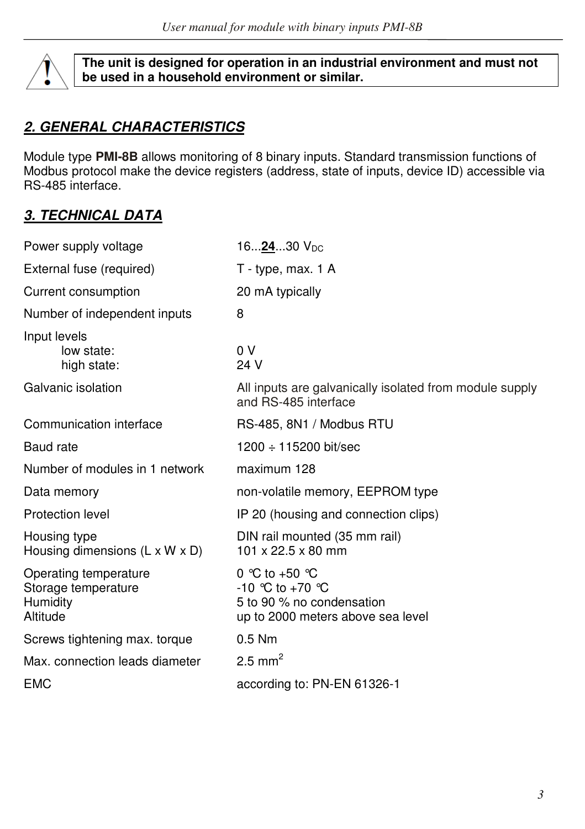

**The unit is designed for operation in an industrial environment and must not be used in a household environment or similar.** 

## *2. GENERAL CHARACTERISTICS*

Module type **PMI-8B** allows monitoring of 8 binary inputs. Standard transmission functions of Modbus protocol make the device registers (address, state of inputs, device ID) accessible via RS-485 interface.

# *3. TECHNICAL DATA*

| Power supply voltage                                                 | 16 <u>24</u> 30 V <sub>DC</sub>                                                                          |
|----------------------------------------------------------------------|----------------------------------------------------------------------------------------------------------|
| External fuse (required)                                             | T - type, max. 1 A                                                                                       |
| Current consumption                                                  | 20 mA typically                                                                                          |
| Number of independent inputs                                         | 8                                                                                                        |
| Input levels<br>low state:<br>high state:                            | 0 V<br>24 V                                                                                              |
| Galvanic isolation                                                   | All inputs are galvanically isolated from module supply<br>and RS-485 interface                          |
| Communication interface                                              | RS-485, 8N1 / Modbus RTU                                                                                 |
| Baud rate                                                            | $1200 \div 115200$ bit/sec                                                                               |
| Number of modules in 1 network                                       | maximum 128                                                                                              |
| Data memory                                                          | non-volatile memory, EEPROM type                                                                         |
| Protection level                                                     | IP 20 (housing and connection clips)                                                                     |
| Housing type<br>Housing dimensions $(L \times W \times D)$           | DIN rail mounted (35 mm rail)<br>101 x 22.5 x 80 mm                                                      |
| Operating temperature<br>Storage temperature<br>Humidity<br>Altitude | 0 °C to +50 °C<br>$-10$ °C to $+70$ °C<br>5 to 90 % no condensation<br>up to 2000 meters above sea level |
| Screws tightening max. torque                                        | $0.5$ Nm                                                                                                 |
| Max. connection leads diameter                                       | 2.5 mm <sup>2</sup>                                                                                      |
| <b>EMC</b>                                                           | according to: PN-EN 61326-1                                                                              |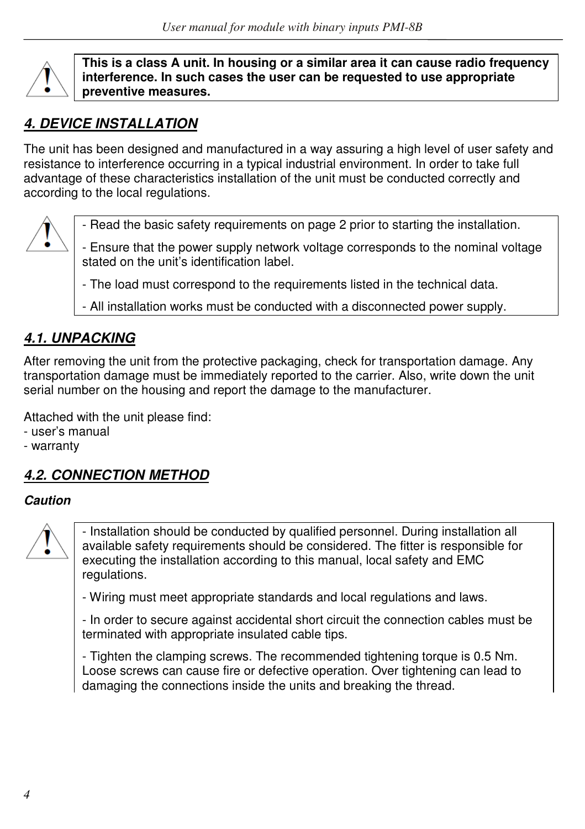

**This is a class A unit. In housing or a similar area it can cause radio frequency interference. In such cases the user can be requested to use appropriate preventive measures.** 

# *4. DEVICE INSTALLATION*

The unit has been designed and manufactured in a way assuring a high level of user safety and resistance to interference occurring in a typical industrial environment. In order to take full advantage of these characteristics installation of the unit must be conducted correctly and according to the local regulations.



- Read the basic safety requirements on page 2 prior to starting the installation.

- Ensure that the power supply network voltage corresponds to the nominal voltage stated on the unit's identification label.

- The load must correspond to the requirements listed in the technical data.
- All installation works must be conducted with a disconnected power supply.

## *4.1. UNPACKING*

After removing the unit from the protective packaging, check for transportation damage. Any transportation damage must be immediately reported to the carrier. Also, write down the unit serial number on the housing and report the damage to the manufacturer.

Attached with the unit please find:

- user's manual
- warranty

# *4.2. CONNECTION METHOD*

## *Caution*



- Installation should be conducted by qualified personnel. During installation all available safety requirements should be considered. The fitter is responsible for executing the installation according to this manual, local safety and EMC regulations.

- Wiring must meet appropriate standards and local regulations and laws.

- In order to secure against accidental short circuit the connection cables must be terminated with appropriate insulated cable tips.

- Tighten the clamping screws. The recommended tightening torque is 0.5 Nm. Loose screws can cause fire or defective operation. Over tightening can lead to damaging the connections inside the units and breaking the thread.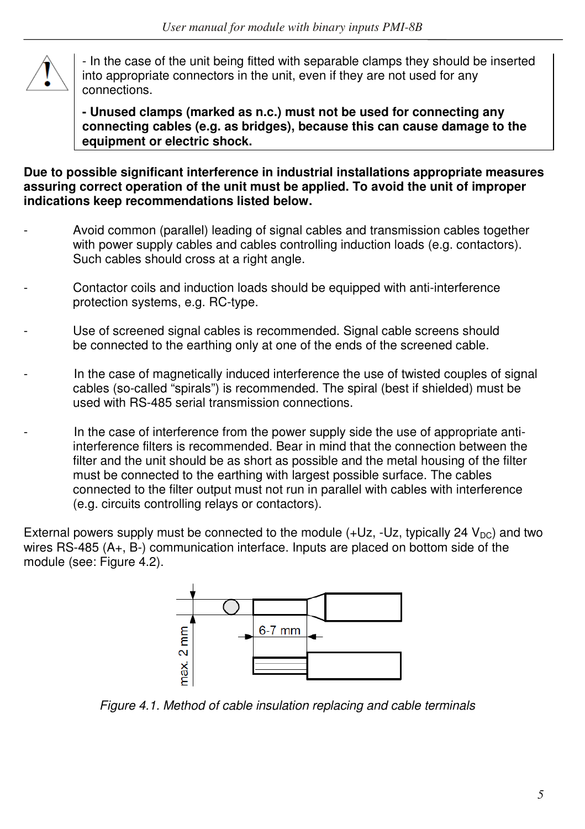

- In the case of the unit being fitted with separable clamps they should be inserted into appropriate connectors in the unit, even if they are not used for any connections.

**- Unused clamps (marked as n.c.) must not be used for connecting any connecting cables (e.g. as bridges), because this can cause damage to the equipment or electric shock.**

**Due to possible significant interference in industrial installations appropriate measures assuring correct operation of the unit must be applied. To avoid the unit of improper indications keep recommendations listed below.** 

- Avoid common (parallel) leading of signal cables and transmission cables together with power supply cables and cables controlling induction loads (e.g. contactors). Such cables should cross at a right angle.
- Contactor coils and induction loads should be equipped with anti-interference protection systems, e.g. RC-type.
- Use of screened signal cables is recommended. Signal cable screens should be connected to the earthing only at one of the ends of the screened cable.
- In the case of magnetically induced interference the use of twisted couples of signal cables (so-called "spirals") is recommended. The spiral (best if shielded) must be used with RS-485 serial transmission connections.
- In the case of interference from the power supply side the use of appropriate antiinterference filters is recommended. Bear in mind that the connection between the filter and the unit should be as short as possible and the metal housing of the filter must be connected to the earthing with largest possible surface. The cables connected to the filter output must not run in parallel with cables with interference (e.g. circuits controlling relays or contactors).

External powers supply must be connected to the module  $(+Uz, -Uz,$  typically 24  $V_{DC}$ ) and two wires RS-485 (A+, B-) communication interface. Inputs are placed on bottom side of the module (see: Figure 4.2).



*Figure 4.1. Method of cable insulation replacing and cable terminals*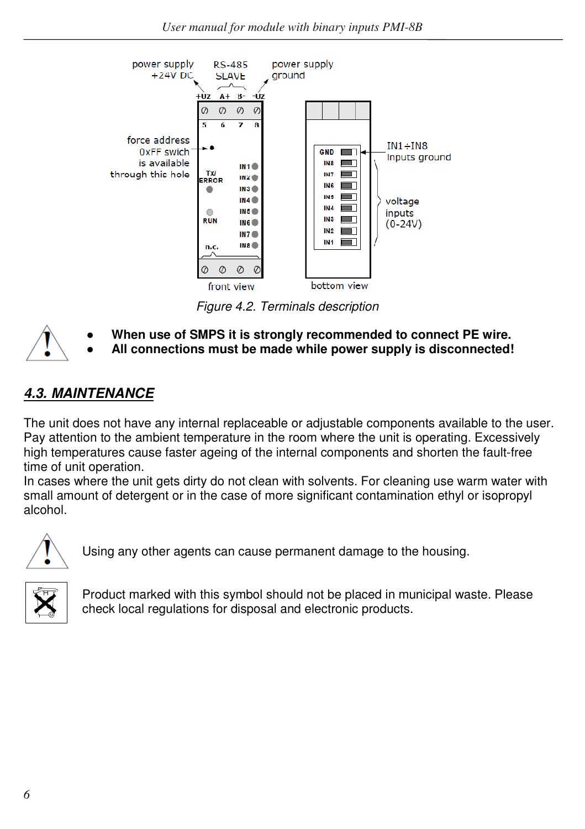

*Figure 4.2. Terminals description*

- **● When use of SMPS it is strongly recommended to connect PE wire.**
- **● All connections must be made while power supply is disconnected!**

## *4.3. MAINTENANCE*

The unit does not have any internal replaceable or adjustable components available to the user. Pay attention to the ambient temperature in the room where the unit is operating. Excessively high temperatures cause faster ageing of the internal components and shorten the fault-free time of unit operation.

In cases where the unit gets dirty do not clean with solvents. For cleaning use warm water with small amount of detergent or in the case of more significant contamination ethyl or isopropyl alcohol.



Using any other agents can cause permanent damage to the housing.



Product marked with this symbol should not be placed in municipal waste. Please check local regulations for disposal and electronic products.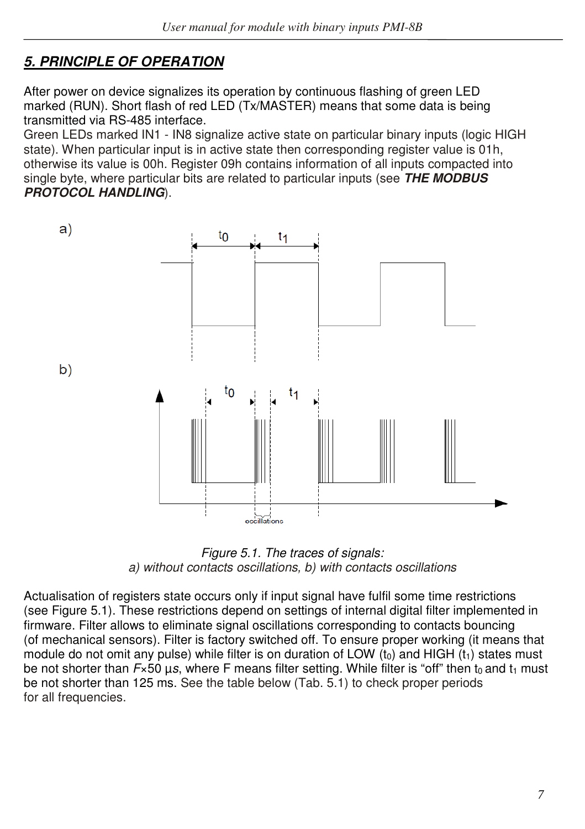# *5. PRINCIPLE OF OPERATION*

After power on device signalizes its operation by continuous flashing of green LED marked (RUN). Short flash of red LED (Tx/MASTER) means that some data is being transmitted via RS-485 interface.

Green LEDs marked IN1 - IN8 signalize active state on particular binary inputs (logic HIGH state). When particular input is in active state then corresponding register value is 01h, otherwise its value is 00h. Register 09h contains information of all inputs compacted into single byte, where particular bits are related to particular inputs (see *THE MODBUS PROTOCOL HANDLING*).



*Figure 5.1. The traces of signals: a) without contacts oscillations, b) with contacts oscillations*

Actualisation of registers state occurs only if input signal have fulfil some time restrictions (see Figure 5.1). These restrictions depend on settings of internal digital filter implemented in firmware. Filter allows to eliminate signal oscillations corresponding to contacts bouncing (of mechanical sensors). Filter is factory switched off. To ensure proper working (it means that module do not omit any pulse) while filter is on duration of LOW  $(t_0)$  and HIGH  $(t_1)$  states must be not shorter than *F*×50 μs, where F means filter setting. While filter is "off" then t<sub>0</sub> and t<sub>1</sub> must be not shorter than 125 ms. See the table below (Tab. 5.1) to check proper periods for all frequencies.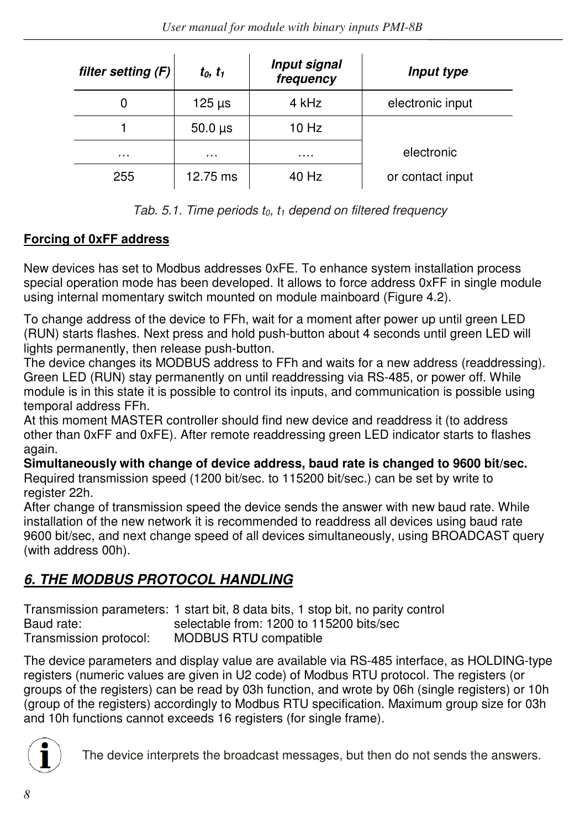| filter setting (F) | $t_0, t_1$     | Input signal<br>frequency | Input type       |
|--------------------|----------------|---------------------------|------------------|
| 0                  | $125 \,\mu s$  | 4 kHz                     | electronic input |
|                    | $50.0 \,\mu s$ | $10$ Hz                   |                  |
| .                  | $\cdots$       | .                         | electronic       |
| 255                | 12.75 ms       | 40 Hz                     | or contact input |

| Tab. 5.1. Time periods $t_0$ , $t_1$ depend on filtered frequency |  |  |  |  |  |  |  |  |  |  |  |
|-------------------------------------------------------------------|--|--|--|--|--|--|--|--|--|--|--|
|-------------------------------------------------------------------|--|--|--|--|--|--|--|--|--|--|--|

## **Forcing of 0xFF address**

New devices has set to Modbus addresses 0xFE. To enhance system installation process special operation mode has been developed. It allows to force address 0xFF in single module using internal momentary switch mounted on module mainboard (Figure 4.2).

To change address of the device to FFh, wait for a moment after power up until green LED (RUN) starts flashes. Next press and hold push-button about 4 seconds until green LED will lights permanently, then release push-button.

The device changes its MODBUS address to FFh and waits for a new address (readdressing). Green LED (RUN) stay permanently on until readdressing via RS-485, or power off. While module is in this state it is possible to control its inputs, and communication is possible using temporal address FFh.

At this moment MASTER controller should find new device and readdress it (to address other than 0xFF and 0xFE). After remote readdressing green LED indicator starts to flashes again.

**Simultaneously with change of device address, baud rate is changed to 9600 bit/sec.**  Required transmission speed (1200 bit/sec. to 115200 bit/sec.) can be set by write to register 22h.

After change of transmission speed the device sends the answer with new baud rate. While installation of the new network it is recommended to readdress all devices using baud rate 9600 bit/sec, and next change speed of all devices simultaneously, using BROADCAST query (with address 00h).

# *6. THE MODBUS PROTOCOL HANDLING*

Transmission parameters: 1 start bit, 8 data bits, 1 stop bit, no parity control Baud rate: selectable from: 1200 to 115200 bits/sec Transmission protocol: MODBUS RTU compatible

The device parameters and display value are available via RS-485 interface, as HOLDING-type registers (numeric values are given in U2 code) of Modbus RTU protocol. The registers (or groups of the registers) can be read by 03h function, and wrote by 06h (single registers) or 10h (group of the registers) accordingly to Modbus RTU specification. Maximum group size for 03h and 10h functions cannot exceeds 16 registers (for single frame).



The device interprets the broadcast messages, but then do not sends the answers.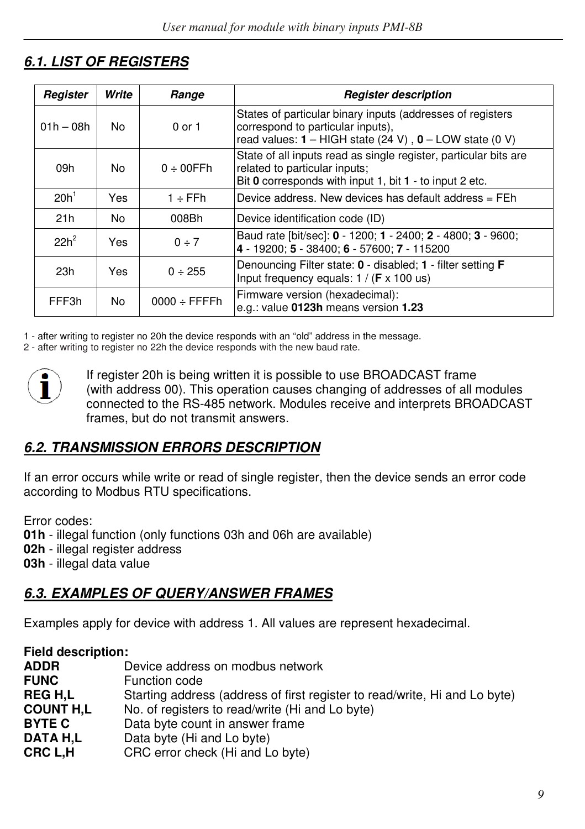# *6.1. LIST OF REGISTERS*

| Register         | Write | Range                     | <b>Register description</b>                                                                                                                                    |
|------------------|-------|---------------------------|----------------------------------------------------------------------------------------------------------------------------------------------------------------|
| $01h - 08h$      | No.   | 0 or 1                    | States of particular binary inputs (addresses of registers<br>correspond to particular inputs),<br>read values: $1 - HIGH$ state (24 V), $0 - LOW$ state (0 V) |
| 09h              | No.   | $0 \div 00$ FFh           | State of all inputs read as single register, particular bits are<br>related to particular inputs:<br>Bit 0 corresponds with input 1, bit 1 - to input 2 etc.   |
| 20h <sup>1</sup> | Yes   | $1 ÷$ FFh                 | Device address. New devices has default address = FEh                                                                                                          |
| 21h              | No.   | 008Bh                     | Device identification code (ID)                                                                                                                                |
| $22h^2$          | Yes   | $0 \div 7$                | Baud rate [bit/sec]: 0 - 1200; 1 - 2400; 2 - 4800; 3 - 9600;<br>4 - 19200; 5 - 38400; 6 - 57600; 7 - 115200                                                    |
| 23h              | Yes   | $0 \div 255$              | Denouncing Filter state: 0 - disabled; 1 - filter setting F<br>Input frequency equals: $1 / (F \times 100 \text{ us})$                                         |
| FFF3h            | No    | $0000 \div \text{FFFF}$ h | Firmware version (hexadecimal):<br>e.g.: value 0123h means version 1.23                                                                                        |

1 - after writing to register no 20h the device responds with an "old" address in the message.

2 - after writing to register no 22h the device responds with the new baud rate.



If register 20h is being written it is possible to use BROADCAST frame (with address 00). This operation causes changing of addresses of all modules connected to the RS-485 network. Modules receive and interprets BROADCAST frames, but do not transmit answers.

## *6.2. TRANSMISSION ERRORS DESCRIPTION*

If an error occurs while write or read of single register, then the device sends an error code according to Modbus RTU specifications.

Error codes:

**01h** - illegal function (only functions 03h and 06h are available)

**02h** - illegal register address

**03h** - illegal data value

## *6.3. EXAMPLES OF QUERY/ANSWER FRAMES*

Examples apply for device with address 1. All values are represent hexadecimal.

| <b>Field description:</b> |                                                                            |
|---------------------------|----------------------------------------------------------------------------|
| <b>ADDR</b>               | Device address on modbus network                                           |
| <b>FUNC</b>               | Function code                                                              |
| <b>REGH.L</b>             | Starting address (address of first register to read/write, Hi and Lo byte) |
| <b>COUNT H.L</b>          | No. of registers to read/write (Hi and Lo byte)                            |
| <b>BYTE C</b>             | Data byte count in answer frame                                            |
| DATA H.L                  | Data byte (Hi and Lo byte)                                                 |
| CRC L.H                   | CRC error check (Hi and Lo byte)                                           |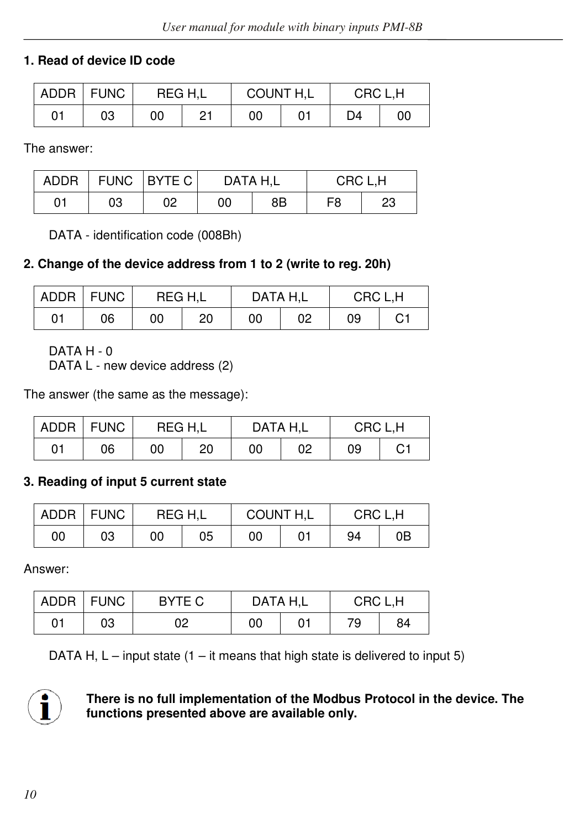## **1. Read of device ID code**

|    | ADDR FUNC | REG H,L |    | COUNT H,L |  | CRC L.H |    |
|----|-----------|---------|----|-----------|--|---------|----|
| 01 | 03        | 00      | 21 | 00        |  | D4      | 00 |

The answer:

| <b>ADDR</b> | <b>FUNC</b> | <b>BYTE C</b> | DATA H.L |    | CRC L.H |    |  |
|-------------|-------------|---------------|----------|----|---------|----|--|
| 01          | 03          | 02            | 00       | 8B | F8      | 23 |  |

DATA - identification code (008Bh)

## **2. Change of the device address from 1 to 2 (write to reg. 20h)**

|    | ADDR FUNC |    | REG H.L<br>DATA H.L<br>CRC L.H |    |    |    |    |
|----|-----------|----|--------------------------------|----|----|----|----|
| 01 | 06        | 00 | 20                             | 00 | 02 | 09 | С1 |

DATA H - 0

DATA L - new device address (2)

The answer (the same as the message):

|    | ADDR   FUNC | REG H.L |    | DATA H.L |    | CRC L.H |    |
|----|-------------|---------|----|----------|----|---------|----|
| 01 | 06          | 00      | 20 | 00       | 02 | 09      | C1 |

## **3. Reading of input 5 current state**

| <b>ADDR</b> | <b>FUNC</b> | REG H.L |    | COUNT H,L |  | CRC L.H |    |
|-------------|-------------|---------|----|-----------|--|---------|----|
| 00          | 03          | 00      | 05 | 00        |  | 94      | 0B |

Answer:

| ADDR | <b>FUNC</b> | BYTE C |    | DATA H.L | CRC L.H |    |  |
|------|-------------|--------|----|----------|---------|----|--|
| 01   | 03          | 02     | 00 |          | 79      | 84 |  |

DATA H,  $L$  – input state (1 – it means that high state is delivered to input 5)



#### **There is no full implementation of the Modbus Protocol in the device. The functions presented above are available only.**